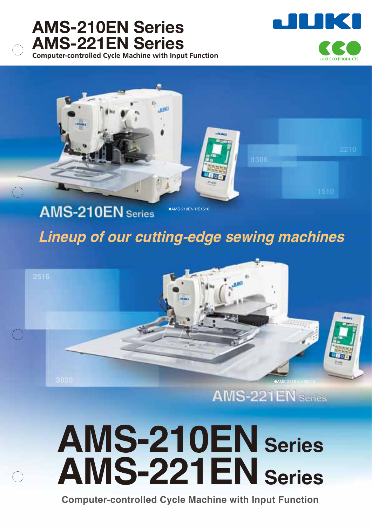### **Computer-controlled Cycle Machine with Input Function AMS-210EN Series AMS-221EN Series**

**ILIKI ECO PRODUCTS** 



# **AMS-210EN** Series

### **Lineup of our cutting-edge sewing machines**



# **AMS-210EN Series AMS-221EN Series**

**Computer-controlled Cycle Machine with Input Function**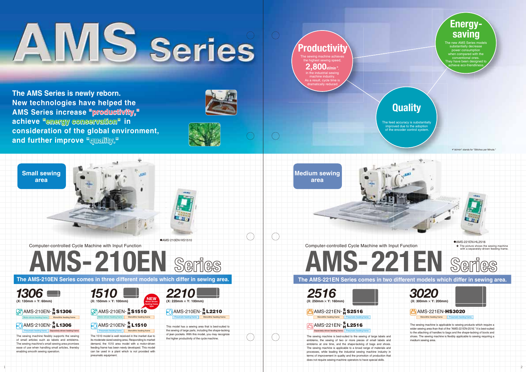### **The AMS-221EN Series comes in two different models which differ in sewing area.**

1 2

**type**



**The AMS-210EN Series comes in three different models which differ in sewing area.**



**Medium sewing area**

Computer-controlled Cycle Machine with Input Function

The 1510 model is well received in the market due to its moderate-sized sewing area. Responding to market demand, the 1510 area model with a motor-driven feeding frame has been newly developed. This model can be used in a plant which is not provided with pneumatic equipment.

The feed accuracy is substantially improved due to the adoption of the encoder control system



# Computer-controlled Cycle Machine with Input Function<br>
Series and Series and AMS-221EN Series and AMS-222<br>
Series and AMS-222EN Series and AMS-222EN Series and AMS-222EN Series and AMS-222EN Series and AMS-222EN Series and

★ The picture shows the sewing machine with a separately-driven feeding frame. ●AMS-221EN-HL2516





The sewing machine achieves the highest sewing speed, **2,800sti/min\***, in the industrial sewing machine industry. As a result, cycle time is dramatically reduced. **Productivit** 

> The sewing machine is best-suited to the sewing of large labels and emblems, the sewing of two or more pieces of small labels and emblems at one time, and the shape-tacking of bags and shoes. The sewing machine is applicable to a broad range of materials and processes, while leading the industrial sewing machine industry in terms of improvement in quality and the promotion of production that does not require sewing-machine operators to have special skills.

AMS-210EN- **L1510 <sup>S</sup> H** Monolithic feeding frame Separately-driven feeding frame **Products** Pneumatic feeding frame

### AMS-221EN- **L2516 <sup>S</sup> H** Separately-driven feeding frame | Pneumatic feeding frame



*2210*  **(X: 220mm** × **Y: 100mm)** AMS-210EN- **L2210 <sup>S</sup> H**

Monolithic feeding frame **Preumatic feeding frame** AMS-221EN-**HS3020**



This model has a sewing area that is best-suited to the sewing of large parts, including the shape-tacking of jean pockets. With this model, you may recognize the higher productivity of the cycle machine.

**"productivity," productivity, " AMS Series increase The AMS Series is newly reborn. New technologies have helped the**   $\mathsf{achieve}\ \textsuperscript{\textsf{m}}$ energy conservation" in **consideration of the global environment, and further improve "quality." quality."**



*2516*  **(X: 250mm** × **Y: 160mm)** AMS-221EN- **S2516 <sup>S</sup> H**

### **Quality**

The new AMS Series models ubstantially decrease power consumption **Propendia** compared with the conventional ones. y have been designed to achieve eco-friendliness.





AMS-210EN- **S1306 <sup>S</sup> H**



The sewing machine flexibly supports the sewing of small articles such as labels and emblems. The sewing machine's small sewing area promises ease of use when handling small articles, thereby enabling smooth sewing operation.

Pneumatic feeding frame

The sewing machine is applicable to sewing products which require a wider sewing area than that of the "AMS-221EN-2516." It is best-suited to the attaching of handles to bags and the shape-tacking of boots and shoes. The sewing machine is flexibly applicable to sewing requiring a medium sewing area.

### \*"sti/min" stands for "Stitches per Minute."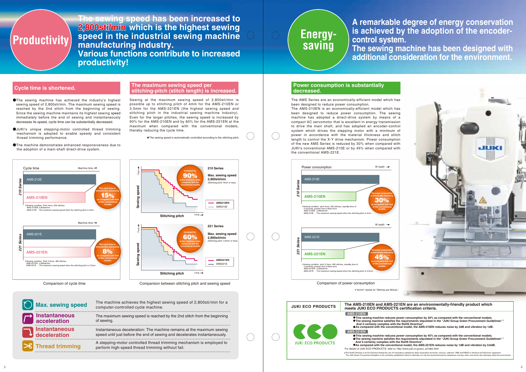**The sewing speed has been increased to**  2,800sti/min which is the highest sewing **speed in the industrial sewing machine manufacturing industry. Various functions contribute to increased productivity!**

- ●The sewing machine has achieved the industry's highest sewing speed of 2,800sti/min. The maximum sewing speed is reached by the 2nd stitch from the beginning of sewing. Since the sewing machine maintains its highest sewing speed immediately before the end of sewing and instantaneously decreases its speed, cycle time can be substantially decreased.
- ●JUKI's unique stepping-motor controlled thread trimming mechanism is adopted to enable speedy and consistent thread trimming performance.
- ●The machine demonstrates enhanced responsiveness due to the adoption of a main-shaft direct-drive system.

been designed to reduce power consumption.

Sewing at the maximum sewing speed of 2,800sti/min is possible up to stitching pitch of 4mm for the AMS-210EN or 3.5mm for the AMS-221EN (the highest sewing speed and stitching pitch in the industrial sewing machine industry). Even for the larger pitches, the sewing speed is increased by 90% for the AMS-210EN and by 60% for the AMS-221EN at the maximum when compared with the conventional models, thereby reducing the cycle time.

★The sewing speed is automatically controlled according to the stitching pitch.

### **Cycle time is shortened. The maximum sewing speed per stitching-pitch (stitch length) is increased.**

### **decreased.**

Comparison of cycle time Comparison between stitching pitch and sewing speed

●This sewing machine reduces power consumption by 30% as compared with the conventional models.<br>●The sewing machine satisfies the requirements stipulated in the "JUKI Group Green Procurement Guidelines\*."<br>And it certainly ●**As compared with the conventional model, the AMS-210EN reduces noise by 3dB and vibration by 1dB.**







| <b>Max. sewing speed</b>             | The machine achieves the highest sewing speed of 2,800sti/min for a<br>computer-controlled cycle machine.                                           |
|--------------------------------------|-----------------------------------------------------------------------------------------------------------------------------------------------------|
| <b>Instantaneous</b><br>acceleration | The maximum sewing speed is reached by the 2nd stitch from the beginning<br>of sewing.                                                              |
| Instantaneous<br>deceleration        | Instantaneous deceleration: The machine remains at the maximum sewing<br>speed until just before the end of sewing and decelerates instantaneously. |
| <b>Thread trimming</b>               | A stepping-motor controlled thread trimming mechanism is employed to<br>perform high-speed thread trimming without fail.                            |



## **Energysaving**

### **A remarkable degree of energy conservation is achieved by the adoption of the encoder-**

**control system.** 

**The sewing machine has been designed with additional consideration for the environment.**

### **The AMS-210EN and AMS-221EN are an environmentally-friendly product which**

●**This sewing machine reduces power consumption by 45% as compared with the conventional models.** ●**The sewing machine satisfies the requirements stipulated in the "JUKI Group Green Procurement Guidelines\*."**  ●**As compared with the conventional model, the AMS-221EN reduces noise by 1dB and vibration by 0.6dB.**

\*The RoHS Directive is an EU Directive limiting the use of 6 hazardous substances (leat, hexavalent chromium, mercury, cadmium, PBB and PBDE) in electrical and electronic equipment.<br>The JUKI Green Procurement Guideline i

**JUKI ECO PRODUCTSmeets JUKI ECO PRODUCTS certification criteria. AMS-210EN AMS-221EN And it certainly complies with the RoHS Directive\*. JUKI ECO PRODUCTS** For details of JUKI ECO PRODUCTS, refer to: http://www.juki.co.jp/eco\_e/index.html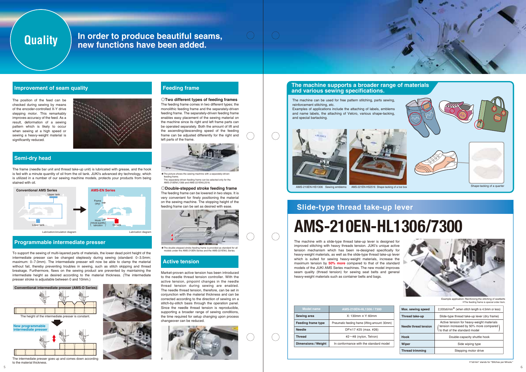The machine with a slide-type thread take-up lever is designed for improved stitching with heavy threads tension. JUKI's unique active tension mechanism which has been re-designed specifically for heavy-weight materials, as well as the slide-type thread take-up lever which is suited for sewing heavy-weight materials, increase the maximum tension by **50% more** compared to that of the standard models of the JUKI AMS Series machines. The new model improves seam quality (thread tension) for sewing seat belts and general heavy-weight materials such as container belts and bags.

# **Slide-type thread take-up lever**

**AMS-210EN-HL1306/7300**

Example application: Reinforcing the stitching of seatbelts \*The feeding frame is special order item.

The position of the feed can be checked during sewing by means of the encoder-controlled X-Y drive stepping motor. This remarkably improves accuracy of the feed. As a result, deformation of a sewing pattern which is likely to occur when sewing at a high speed or sewing a heavy-weight material is significantly reduced.



## **Quality**

The frame (needle bar unit and thread take-up unit) is lubricated with grease, and the hook is fed with a minute quantity of oil from the oil tank. JUKI's advanced dry technology, which is utilized in a number of our sewing machine models, protects your products from being stained with oil.

To support the sewing of multi-layered parts of materials, the lower dead point height of the intermediate presser can be changed steplessly during sewing (standard: 0~3.5mm; maximum: 0~7.0mm). The intermediate presser will now be able to clamp the material without fail, thereby preventing troubles in sewing, such as stitch skipping and thread breakage. Furthermore, flaws on the sewing product are prevented by maintaining the intermediate height as desired according to the material thickness. (The intermediate presser stroke is adjustable between 0 and 10mm.)

The intermediate presser goes up and comes down according to the material thickness.



Market-proven active tension has been introduced to the needle thread tension controller. With the active tension, pinpoint changes in the needle thread tension during sewing are enabled. The needle thread tension, therefore, can be set in conjunction with the material thickness and can be corrected according to the direction of sewing on a stitch-by-stitch basis through the operation panel. Since the needle thread tension is reproducible, supporting a broader range of sewing conditions, the time required for setup changing upon process changeover can be reduced.







### **◎Double-stepped stroke feeding frame**

The feeding frame can be lowered in two steps. It is very convenient for finely positioning the material on the sewing machine. The stopping height of the feeding frame can be set as desired with ease.



**◎Two different types of feeding frames** The feeding frame comes in two different types; the monolithic feeding frame and the separately-driven feeding frame. The separately-driven feeding frame enables easy placement of the sewing material on the machine since its right and left frame parts can be operated separately. Both the amount of lift and the ascending/descending speed of the feeding frame can be adjusted differently for the right and left parts of the frame.



★The double-stepped stroke feeding frame is provided as standard for all models under the AMS-210EN Series and the AMS-221EN/L Series.

★The picture shows the sewing machine with a separately-driven feeding frame. The separately-driven feeding frame can be selected only for the AMS-210EN/L1306 and AMS-221EN/L2516.

### **In order to produce beautiful seams, new functions have been added.**

### **Improvement of seam quality**

### **Semi-dry head**

### **Programmable intermediate presser**

### **Active tension**

### **Feeding frame**

| Model name                 | AMS-210EN-HL1306 / 7300                        | Max. sewing speed      | 2,000sti/min <sup>*</sup> (when stitch length is 4.5mm or less)          |  |
|----------------------------|------------------------------------------------|------------------------|--------------------------------------------------------------------------|--|
| <b>Sewing area</b>         | $X: 130$ mm $\times$ Y: 60mm                   | Thread take-up         | Slide-type thread take-up lever (dry frame)                              |  |
| <b>Feeding frame type</b>  | Pneumatic feeding frame (lifting amount: 30mm) |                        | Active tension for heavy-weight materials                                |  |
| <b>Needle</b>              | DP×17 #25 (max. #26)                           | Needle thread tension  | fension increased by 50% more compared)<br>to that of the standard model |  |
| <b>Thread</b>              | #2 $\sim$ #8 (nylon, Tetron)                   | <b>Hook</b>            | Double-capacity shuttle hook                                             |  |
| <b>Dimensions / Weight</b> | In conformance with the standard model         | Wiper                  | Side wiping type                                                         |  |
|                            |                                                | <b>Thread trimming</b> | Stepping motor drive                                                     |  |



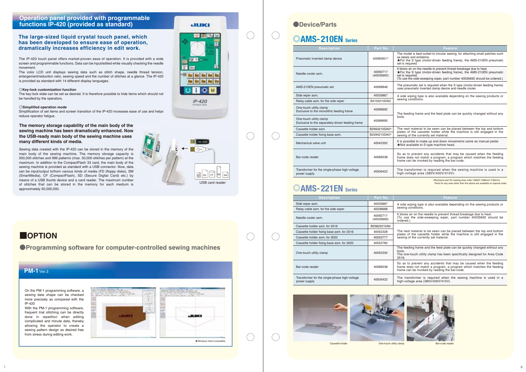### **The large-sized liquid crystal touch panel, which has been developed to ensure ease of operation, dramatically increases efficiency in edit work.**

### **Operation panel provided with programmable functions IP-420 (provided as standard)**

Sewing data created with the IP-420 can be stored in the memory of the main body of the sewing machine. The memory storage capacity is 500,000 stitches and 999 patterns (max. 50,000 stitches per pattern) at the maximum. In addition to the CompactFlash 33 card, the main body of the sewing machine is provided as standard with a USB connector. Now, data can be input/output to/from various kinds of media (FD (floppy disks), SM (SmartMedia), CF (CompactFlash), SD (Secure Digital Card) etc.) by means of a USB thumb device and a card reader. The maximum number of stitches that can be stored in the memory for each medium is approximately 50,000,000.

**The memory storage capability of the main body of the sewing machine has been dramatically enhanced. Now the USB-ready main body of the sewing machine uses many different kinds of media.**

> \*Exclusive part for sewing area code 1306(X:1306mm-Y:60mm) Parts for any area other than the above are available on special order

The IP-420 touch panel offers market-proven ease of operation. It is provided with a wide screen and programmable functions. Data can be input/edited while visually checking the needle movement.

The color LCD unit displays sewing data such as stitch shape, needle thread tension, enlargement/reduction ratio, sewing speed and the number of stitches at a glance. The IP-420 is provided as standard with 14 different display languages.

### **◎Key-lock customization function**

The next material to be sewn can be placed between the top and bottom plates of the cassette holder while the machine is still engaged in the sewing of the currently set material.

The key-lock state can be set as desired. It is therefore possible to hide items which should not be handled by the operators.

### **◎Simplified operation mode**

Simplification of set items and screen transition of the IP-420 increases ease of use and helps reduce operator fatigue.



JUKI

п

 $IP - 420$ 

 $\mathbb{N}$   $\sim$ 

 $\left( \begin{array}{cc} 0 & 0 \ 0 & 0 \end{array} \right)$ 

On the PM-1 programming software, a sewing data shape can be checked more precisely as compared with the IP-420

With the PM-1 programming software, frequent trial stitching can be directly done in repetition when editing complicated and minute data, thereby allowing the operator to create a sewing pattern design as desired free from stress during editing work.



The model is best-suited to circular sewing, for attaching small patches such as labels and emblems. ★For the S type (motor-driven feeding frame), the AMS-210EN pneumatic set is required.

It blows air on the needle to prevent thread breakage due to heat. (To use the side-sweeping wiper, part number 40035692 should be .<br>prdered.)

It blows air on the needle to prevent thread breakage due to heat. ★For the S type (motor-driven feeding frame), the AMS-210EN pneumatic set is required. (To use the side-sweeping wiper, part number 40035692 should be ordered.)

The pneumatic set is required when the S type (motor-driven feeding frame) uses pneumatic inverted clamp device and needle cooler.

A side wiping type is also available depending on the sewing products or sewing conditions.

The feeding frame and the feed plate can be quickly changed without any tools.

So as to prevent any accidents that may be caused when the feeding frame does not match a program, a program which matches the feeding frame can be invoked by reading the bar-code.

| <b>Description</b>                                                          | Part No.               | Feature                                                                                                                                                               |
|-----------------------------------------------------------------------------|------------------------|-----------------------------------------------------------------------------------------------------------------------------------------------------------------------|
| Pneumatic inverted clamp device                                             | 40092951*              | The model is best-suited to circular sewing<br>as labels and emblems.<br>★For the S type (motor-driven feeding fra<br>set is required.                                |
| Needle cooler asm.                                                          | 40092717<br>(40035692) | It blows air on the needle to prevent thread<br>$\bigstar$ For the S type (motor-driven feeding fra<br>set is required.<br>(To use the side-sweeping wiper, part numb |
| AMS-210EN pneumatic set                                                     | 40089848               | The pneumatic set is required when the S<br>uses pneumatic inverted clamp device and                                                                                  |
| Side wiper asm.                                                             | 40035867               | A side wiping type is also available deper                                                                                                                            |
| Relay cable asm. for the side wiper                                         | B4150210DA0            | sewing conditions.                                                                                                                                                    |
| One-touch utility clamp<br>Exclusive to the monolithic feeding frame        | 40089692               | The feeding frame and the feed plate can                                                                                                                              |
| One-touch utility clamp<br>Exclusive to the separately-driven feeding frame | 40089695               | tools.                                                                                                                                                                |
| Cassette holder asm.                                                        | B2953210DA0*           | The next material to be sewn can be plac<br>plates of the cassette holder while the                                                                                   |
| Cassette holder fixing base asm.                                            | B2594210DA0*           | sewing of the currently set material.                                                                                                                                 |
| Mechanical valve unit                                                       | 40042352               | It is possible to make up and down mover<br>★Not available to S type machine head.                                                                                    |
| Bar-code reader                                                             | 40089238               | So as to prevent any accidents that ma<br>frame does not match a program, a prog<br>frame can be invoked by reading the bar-                                          |
| Transformer for the single-phase high-voltage<br>power supply               | 40005422               | The transformer is required when the<br>high-voltage area (380V/400V/415V).                                                                                           |

The transformer is required when the sewing machine is used in a high-voltage area (380V/400V/415V).

It is possible to make up and down movements same as manual pedal. ★Not available to S type machine head.



### **◎AMS-221EN Series**

| <b>ODevice/Parts</b>     |
|--------------------------|
| <b>OAMS-210EN</b> Series |
| <b>Description</b>       |

### **■OPTION**

**●Programming software for computer-controlled sewing machines**

### **PM-1** Ver.3

| <b>Description</b>                                            | Part No.               | <b>Feature</b>                                                                                                               |
|---------------------------------------------------------------|------------------------|------------------------------------------------------------------------------------------------------------------------------|
| Side wiper asm.                                               | 40035867               | A side wiping type is also available deper                                                                                   |
| Relay cable asm. for the side wiper                           | 40036668               | sewing conditions.                                                                                                           |
| Needle cooler asm.                                            | 40092717<br>(40035692) | It blows air on the needle to prevent threa<br>(To use the side-sweeping wiper, part<br>ordered.)                            |
| Cassette holder asm. for 2516                                 | B25822210A0            |                                                                                                                              |
| Cassette holder fixing base asm. for 2516                     | 40052328               | The next material to be sewn can be plac                                                                                     |
| Cassette holder asm. for 3020                                 | 40053777               | plates of the cassette holder while the<br>sewing of the currently set material.                                             |
| Cassette holder fixing base asm. for 3020                     | 40053782               |                                                                                                                              |
| One-touch utility clamp                                       | 40052330               | The feeding frame and the feed plate can<br>tools.<br>The one-touch utility clamp has been spe<br>2516.                      |
| Bar-code reader                                               | 40089238               | So as to prevent any accidents that ma<br>frame does not match a program, a prog<br>frame can be invoked by reading the bar- |
| Transformer for the single-phase high-voltage<br>power supply | 40005422               | The transformer is required when the<br>high-voltage area (380V/400V/415V).                                                  |
|                                                               |                        |                                                                                                                              |





The transformer is required when the sewing machine is used in a high-voltage area (380V/400V/415V).

A side wiping type is also available depending on the sewing products or sewing conditions.

The next material to be sewn can be placed between the top and bottom plates of the cassette holder while the machine is still engaged in the sewing of the currently set material.

The feeding frame and the feed plate can be quickly changed without any tools. The one-touch utility clamp has been specifically designed for Area Code

2516.

So as to prevent any accidents that may be caused when the feeding frame does not match a program, a program which matches the feeding frame can be invoked by reading the bar-code.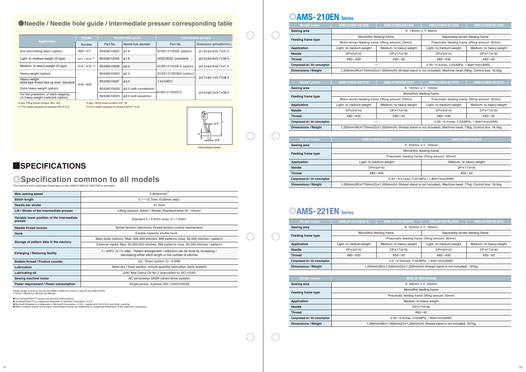### **●Needle / Needle hole guide / Intermediate presser corresponding table**

\*Stitch length is 4mm or less for the AMS-210EN and 3.5mm or less for the AMS-221EN. \*"sti/min" stands for "Stitches per Minute."

★For CompactFlash™, please use genuine JUKI products.<br>★"CompactFlash™\*!s a registered trademark of SanDisk Corporation, U.S.A.<br>★Microsoft Windows is a trademark of Microsoft Corporation, U.S.A., registered in the U.S.A. a

### **◎AMS-210EN Series**

### **◎AMS-221EN Series**

S type: Fitting thread numbers #80~#20 H type: Fitting thread numbers #50~#2

\*1 The needle equipped as standard (DP×5 #14) \*2 The needle equipped as standard (DP×17 #18)



 $\bigcirc$ 

 $\bigcirc$ 

 $\bigcirc$ 

 $\bigcirc$ 

 $\bigcirc$ 

 $\bigcirc$ 

 $\bigcirc$ 

 $\bigcirc$ 

Intermediate presser

| Model name                       | AMS-210EN-SS1306                                                                                       | AMS-210EN-HS1306        | <b>AMS-210EN-SL1306</b>                                       | <b>AMS-210EN-HL1306</b> |
|----------------------------------|--------------------------------------------------------------------------------------------------------|-------------------------|---------------------------------------------------------------|-------------------------|
| Sewing area                      |                                                                                                        |                         | $X: 130$ mm $\times$ Y: 60mm                                  |                         |
|                                  | Monolithic feeding frame                                                                               |                         | Separately-driven feeding frame                               |                         |
| Feeding frame type               | Motor-driven feeding frame (lifting amount: 25mm)                                                      |                         | Pneumatic feeding frame (lifting amount: 30mm)                |                         |
| Application                      | Light- to medium-weight                                                                                | Medium- to heavy-weight | Light- to medium-weight                                       | Medium- to heavy-weight |
| <b>Needle</b>                    | DP <sub>x5(H14)</sub>                                                                                  | DPX17(#18)              | DP <sub>x5(H14)</sub>                                         | $D P \times 17$ (#18)   |
| <b>Thread</b>                    | #80 $\sim$ #30                                                                                         | #50 $\sim$ #2           | $#80 \sim #30$                                                | #50 $\sim$ #2           |
| Compressed air / Air consumption |                                                                                                        |                         | $0.35 \sim 0.4$ (max. 0.55) MPa, 1.8dm <sup>3</sup> /min(ANR) |                         |
| <b>Dimensions / Weight</b>       | 1,200mm(W)x710mm(D)x1,200mm(H) (thread stand is not included), Machine head: 69kg, Control box: 16.5kg |                         |                                                               |                         |

| Max. sewing speed                                      | $2,800$ sti/min <sup>*</sup>                                                                                                                         |  |
|--------------------------------------------------------|------------------------------------------------------------------------------------------------------------------------------------------------------|--|
| Stitch length                                          | $0.1 \sim 12.7$ mm (0.05mm step)                                                                                                                     |  |
| Needle bar stroke                                      | 41.2mm                                                                                                                                               |  |
| Lift / Stroke of the intermediate presser              | Lifting amount: 20mm / Stroke: Standard 4mm $(0 \sim 10$ mm)                                                                                         |  |
| Variable lower position of the intermediate<br>presser | Standard $0 \sim 3.5$ mm (max. $0 \sim 7.0$ mm)                                                                                                      |  |
| Needle thread tension                                  | Active tension (electronic thread tension control mechanism)                                                                                         |  |
| <b>Hook</b>                                            | Double-capacity shuttle hook                                                                                                                         |  |
|                                                        | Main-body memory: Max. 500,000 stitches, 999 patterns (max. 50,000 stitches / pattern)                                                               |  |
| Storage of pattern data in the memory                  | External media: Max. 50,000,000 stitches, 999 patterns (max. 50,000 stitches / pattern)                                                              |  |
| <b>Enlarging / Reducing facility</b>                   | $1 \sim 400\%$ (0.1% step), Pattern enlargement / reduction can be done by increasing /<br>decreasing either stitch length or the number of stitches |  |
| <b>Bobbin thread / Product counter</b>                 | Up / Down system $(0 \sim 9,999)$                                                                                                                    |  |
| Lubrication                                            | Semi-dry / hook section: minute-quantity lubrication (tank system)                                                                                   |  |
| Lubricating oil                                        | JUKI New Defrix Oil No.2 (equivalent to ISO VG32)                                                                                                    |  |
| Sewing machine motor                                   | AC servomotor 550W (direct-drive system)                                                                                                             |  |
| Power requirement / Power consumption                  | Single-phase, 3-phase $200 \sim 240 V/450 V$ A                                                                                                       |  |

|                                                                             | Needle            | Needle hole guide |                               | Intermediate presser  |                                                                |
|-----------------------------------------------------------------------------|-------------------|-------------------|-------------------------------|-----------------------|----------------------------------------------------------------|
| <b>Application</b>                                                          | Number            | Part No.          | Needle hole diameter          | Part No.              | Dimensions ( $\phi$ A $\times$ $\phi$ B $\times$ H $\times$ L) |
| Knit and knitting fabric (option)                                           | $#09~\sim$ #11    | B242621000C       | $\phi$ 1.6                    | B1601210D0E (option)  | φ1.6×φ2.6×5.7×37.0                                             |
| Light- to medium-weight (S type)                                            | #11~#14 $*1$      | B242621000A       | $\phi$ 1.6                    | 40023632 (standard)   | φ2.2×φ3.6×5.7×38.5                                             |
| Medium- to heavy-weight (H type)                                            | #14 $\sim$ #18 *2 | B242621000B       | $\phi$ 2.0                    | B1601210D0FA (option) | φ2.2×φ3.6×8.7×41.5                                             |
| Heavy-weight (option)                                                       |                   | B242621000D       | $\phi$ 2.4                    | B1601210D0BA (option) |                                                                |
| Heavy-weight<br>(slide-type thread take-up lever: standard)                 | #18 $\sim$ #25    | B242621000F       | $\phi$ 3.0                    | 14433601              | φ2.7×φ4.1×5.7×38.5                                             |
| Extra heavy-weight (option)                                                 |                   | B242621000G       | $\phi$ 3.0 (with counterbore) | B1601210D0CA          |                                                                |
| For the prevention of stitch skipping<br>on heavy-weight materials (option) |                   | B242621000H       | $\phi$ 3.0 (with eccentric)   |                       | φ3.5×φ5.5×5.7×38.5                                             |

| Model name                       | <b>AMS-210EN-SL2210</b>                                                                                | <b>AMS-210EN-HL2210</b>  |  |  |  |  |
|----------------------------------|--------------------------------------------------------------------------------------------------------|--------------------------|--|--|--|--|
| Sewing area                      |                                                                                                        | $X: 220$ mm $X: 100$ mm  |  |  |  |  |
|                                  |                                                                                                        | Monolithic feeding frame |  |  |  |  |
| Feeding frame type               | Pneumatic feeding frame (lifting amount: 30mm)                                                         |                          |  |  |  |  |
| Application                      | Light- to medium-weight                                                                                | Medium- to heavy-weight  |  |  |  |  |
| <b>Needle</b>                    | DP <sub>x5(H14)</sub>                                                                                  | DP×17(#18)               |  |  |  |  |
| <b>Thread</b>                    | $#80 \sim #30$                                                                                         | #50 $\sim$ #2            |  |  |  |  |
| Compressed air / Air consumption | $0.35 \sim 0.4$ (max. 0.55) MPa / 1.8dm <sup>3</sup> /min(ANR)                                         |                          |  |  |  |  |
| Dimensions / Weight              | 1,200mm(W)×770mm(D)×1,200mm(H) (thread stand is not included), Machine head: 77kg. Control box: 16.5kg |                          |  |  |  |  |

| <b>Model</b> name                | <b>AMS-221EN-SS2516</b>                                                | <b>AMS-221EN-HS2516</b>                                                                            | <b>AMS-221EN-SL2516</b>                        | <b>AMS-221EN-HL2516</b> |  |
|----------------------------------|------------------------------------------------------------------------|----------------------------------------------------------------------------------------------------|------------------------------------------------|-------------------------|--|
| Sewing area                      | $X: 250$ mm $X Y: 160$ mm                                              |                                                                                                    |                                                |                         |  |
|                                  |                                                                        | Monolithic feeding frame                                                                           | Separately-driven feeding frame                |                         |  |
| <b>Feeding frame type</b>        |                                                                        |                                                                                                    | Pneumatic feeding frame (lifting amount: 30mm) |                         |  |
| <b>Application</b>               | Light- to medium-weight                                                | Medium- to heavy-weight                                                                            | Light- to medium-weight                        | Medium- to heavy-weight |  |
| <b>Needle</b>                    | DP <sub>x5</sub> (#14)                                                 | DP×17(#18)                                                                                         | DP <sub>x5(H14)</sub>                          | DP×17(#18)              |  |
| <b>Thread</b>                    | #80 $\sim$ #20                                                         | $#50 \sim #2$                                                                                      | $#80 \sim #20$                                 | $#50 \sim #2$           |  |
| Compressed air / Air consumption |                                                                        | $0.5 \sim 0.55$ (max. 0.55) MPa, 1.8dm <sup>3</sup> /min(ANR)                                      |                                                |                         |  |
| <b>Dimensions / Weight</b>       |                                                                        | $1,200$ mm $(W) \times 1,000$ mm $(D) \times 1,200$ mm $(H)$ (thread stand is not included), 197kg |                                                |                         |  |
|                                  |                                                                        |                                                                                                    |                                                |                         |  |
| <b>Model name</b>                | AMS-221EN-HS3020                                                       |                                                                                                    |                                                |                         |  |
| Sewing area                      | $X: 300$ mm $X Y: 200$ mm                                              |                                                                                                    |                                                |                         |  |
| <b>Feeding frame type</b>        | Monolithic feeding frame                                               |                                                                                                    |                                                |                         |  |
|                                  | Pneumatic feeding frame (lifting amount: 30mm)                         |                                                                                                    |                                                |                         |  |
| <b>Application</b>               | Medium- to heavy-weight                                                |                                                                                                    |                                                |                         |  |
| <b>Needle</b>                    | DP×17(#18)                                                             |                                                                                                    |                                                |                         |  |
| <b>Thread</b>                    | #50 $\sim$ #2                                                          |                                                                                                    |                                                |                         |  |
| Compressed air / Air consumption | $0.35 \sim 0.4$ (max. 0.55) MPa, 1.8dm <sup>3</sup> /min(ANR)          |                                                                                                    |                                                |                         |  |
| <b>Dimensions / Weight</b>       | 1,200mm(W)×1,000mm(D)×1,200mm(H) (thread stand is not included), 207kg |                                                                                                    |                                                |                         |  |

| <b>Model name</b>                | <b>AMS-221EN-SS2516</b>                                                | AMS-221EN-HS2516                                                                                   | <b>AMS-221EN-SL2516</b> | <b>AMS-221EN-HL2516</b>         |  |
|----------------------------------|------------------------------------------------------------------------|----------------------------------------------------------------------------------------------------|-------------------------|---------------------------------|--|
| Sewing area                      | $X: 250$ mm $X Y: 160$ mm                                              |                                                                                                    |                         |                                 |  |
|                                  |                                                                        | Monolithic feeding frame                                                                           |                         | Separately-driven feeding frame |  |
| <b>Feeding frame type</b>        |                                                                        | Pneumatic feeding frame (lifting amount: 30mm)                                                     |                         |                                 |  |
| <b>Application</b>               | Light- to medium-weight                                                | Medium- to heavy-weight                                                                            | Light- to medium-weight | Medium- to heavy-weight         |  |
| <b>Needle</b>                    | $DPx5(\text{\#}14)$                                                    | DP×17(#18)                                                                                         | DP <sub>x5</sub> (#14)  | DP×17(#18)                      |  |
| <b>Thread</b>                    | $#80 \sim #20$                                                         | $#50 \sim #2$                                                                                      | $#80 \sim #20$          | $#50 \sim #2$                   |  |
| Compressed air / Air consumption |                                                                        | $0.5 \sim 0.55$ (max. 0.55) MPa, 1.8dm <sup>3</sup> /min(ANR)                                      |                         |                                 |  |
| <b>Dimensions / Weight</b>       |                                                                        | $1,200$ mm $(W) \times 1,000$ mm $(D) \times 1,200$ mm $(H)$ (thread stand is not included), 197kg |                         |                                 |  |
|                                  |                                                                        |                                                                                                    |                         |                                 |  |
| <b>Model name</b>                | <b>AMS-221EN-HS3020</b>                                                |                                                                                                    |                         |                                 |  |
| Sewing area                      | $X: 300$ mm $X Y: 200$ mm                                              |                                                                                                    |                         |                                 |  |
| <b>Feeding frame type</b>        | Monolithic feeding frame                                               |                                                                                                    |                         |                                 |  |
|                                  | Pneumatic feeding frame (lifting amount: 30mm)                         |                                                                                                    |                         |                                 |  |
| Application                      |                                                                        | Medium- to heavy-weight                                                                            |                         |                                 |  |
| <b>Needle</b>                    | DP×17(#18)                                                             |                                                                                                    |                         |                                 |  |
| <b>Thread</b>                    | $#50 \sim #2$                                                          |                                                                                                    |                         |                                 |  |
| Compressed air / Air consumption | $0.35 \sim 0.4$ (max. 0.55) MPa, 1.8dm <sup>3</sup> /min(ANR)          |                                                                                                    |                         |                                 |  |
| <b>Dimensions / Weight</b>       | 1,200mm(W)×1,000mm(D)×1,200mm(H) (thread stand is not included), 207kg |                                                                                                    |                         |                                 |  |

| Model name                       | <b>AMS-210EN-SS1510</b>                                                                                | AMS-210EN-HS1510        | <b>AMS-210EN-SL1510</b>                        | <b>AMS-210EN-HL1510</b> |  |
|----------------------------------|--------------------------------------------------------------------------------------------------------|-------------------------|------------------------------------------------|-------------------------|--|
| Sewing area                      |                                                                                                        |                         | $X: 150$ mm $X$ Y: 100mm                       |                         |  |
|                                  | Monolithic feeding frame                                                                               |                         |                                                |                         |  |
| <b>Feeding frame type</b>        | Motor-driven feeding frame (lifting amount: 25mm)                                                      |                         | Pneumatic feeding frame (lifting amount: 30mm) |                         |  |
| Application                      | Light- to medium-weight                                                                                | Medium- to heavy-weight | Light- to medium-weight                        | Medium- to heavy-weight |  |
| <b>Needle</b>                    | DP <sub>x5</sub> (#14)                                                                                 | DP×17(#18)              | $D P\times 5$ (#14)                            | DP×17(#18)              |  |
| <b>Thread</b>                    | #80 $\sim$ #30                                                                                         | #50 $\sim$ #2           | $#80 \sim #30$                                 | #50 $\sim$ #2           |  |
| Compressed air / Air consumption | $0.35 \sim 0.4$ (max. 0.55) MPa, 1.8dm <sup>3</sup> /min(ANR)                                          |                         |                                                |                         |  |
| <b>Dimensions / Weight</b>       | l,200mm(W)×770mm(D)×1,200mm(H) (thread stand is not included), Machine head: 73kg, Control box: 16.5kg |                         |                                                |                         |  |

### **■SPECIFICATIONS**

### **©** Specification **common to all models**